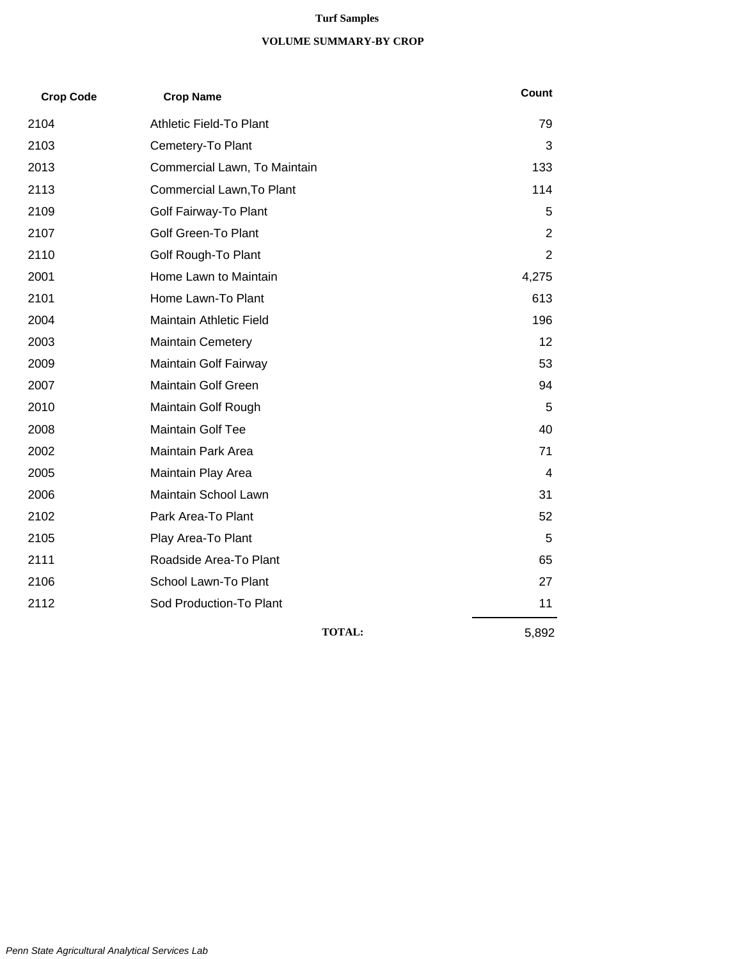#### **Turf Samples**

#### **VOLUME SUMMARY-BY CROP**

| <b>Crop Code</b> | <b>Crop Name</b>             | Count          |
|------------------|------------------------------|----------------|
| 2104             | Athletic Field-To Plant      | 79             |
| 2103             | Cemetery-To Plant            | 3              |
| 2013             | Commercial Lawn, To Maintain | 133            |
| 2113             | Commercial Lawn, To Plant    | 114            |
| 2109             | Golf Fairway-To Plant        | 5              |
| 2107             | <b>Golf Green-To Plant</b>   | $\overline{2}$ |
| 2110             | Golf Rough-To Plant          | 2              |
| 2001             | Home Lawn to Maintain        | 4,275          |
| 2101             | Home Lawn-To Plant           | 613            |
| 2004             | Maintain Athletic Field      | 196            |
| 2003             | <b>Maintain Cemetery</b>     | 12             |
| 2009             | Maintain Golf Fairway        | 53             |
| 2007             | <b>Maintain Golf Green</b>   | 94             |
| 2010             | Maintain Golf Rough          | 5              |
| 2008             | Maintain Golf Tee            | 40             |
| 2002             | Maintain Park Area           | 71             |
| 2005             | Maintain Play Area           | 4              |
| 2006             | Maintain School Lawn         | 31             |
| 2102             | Park Area-To Plant           | 52             |
| 2105             | Play Area-To Plant           | 5              |
| 2111             | Roadside Area-To Plant       | 65             |
| 2106             | School Lawn-To Plant         | 27             |
| 2112             | Sod Production-To Plant      | 11             |
|                  | <b>TOTAL:</b>                | 5,892          |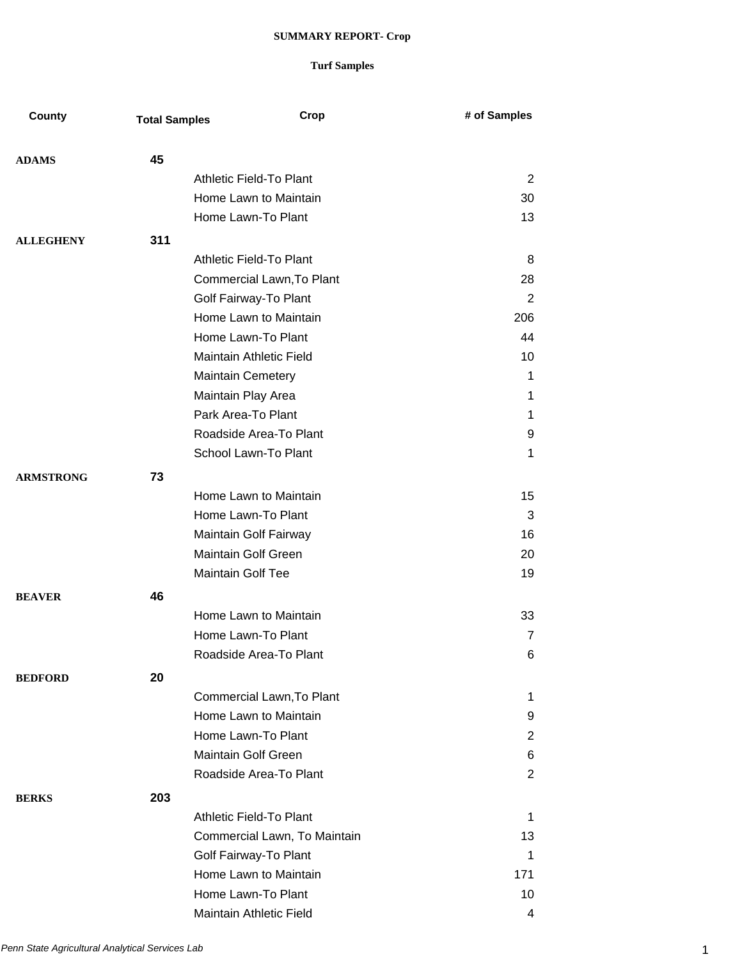| County           | <b>Total Samples</b> | Crop                           | # of Samples   |
|------------------|----------------------|--------------------------------|----------------|
|                  |                      |                                |                |
| <b>ADAMS</b>     | 45                   |                                |                |
|                  |                      | Athletic Field-To Plant        | 2              |
|                  |                      | Home Lawn to Maintain          | 30             |
|                  |                      | Home Lawn-To Plant             | 13             |
| <b>ALLEGHENY</b> | 311                  |                                |                |
|                  |                      | <b>Athletic Field-To Plant</b> | 8              |
|                  |                      | Commercial Lawn, To Plant      | 28             |
|                  |                      | Golf Fairway-To Plant          | 2              |
|                  |                      | Home Lawn to Maintain          | 206            |
|                  |                      | Home Lawn-To Plant             | 44             |
|                  |                      | Maintain Athletic Field        | 10             |
|                  |                      | <b>Maintain Cemetery</b>       | 1              |
|                  |                      | Maintain Play Area             | 1              |
|                  |                      | Park Area-To Plant             | 1              |
|                  |                      | Roadside Area-To Plant         | 9              |
|                  |                      | School Lawn-To Plant           | 1              |
| <b>ARMSTRONG</b> | 73                   |                                |                |
|                  |                      | Home Lawn to Maintain          | 15             |
|                  |                      | Home Lawn-To Plant             | 3              |
|                  |                      | Maintain Golf Fairway          | 16             |
|                  |                      | Maintain Golf Green            | 20             |
|                  |                      | Maintain Golf Tee              | 19             |
| <b>BEAVER</b>    | 46                   |                                |                |
|                  |                      | Home Lawn to Maintain          | 33             |
|                  |                      | Home Lawn-To Plant             | $\overline{7}$ |
|                  |                      | Roadside Area-To Plant         | 6              |
| <b>BEDFORD</b>   | 20                   |                                |                |
|                  |                      | Commercial Lawn, To Plant      | 1.             |
|                  |                      | Home Lawn to Maintain          | 9              |
|                  |                      | Home Lawn-To Plant             | $\overline{2}$ |
|                  |                      | <b>Maintain Golf Green</b>     | 6              |
|                  |                      | Roadside Area-To Plant         | 2              |
| <b>BERKS</b>     | 203                  |                                |                |
|                  |                      | Athletic Field-To Plant        | $\mathbf 1$    |
|                  |                      | Commercial Lawn, To Maintain   | 13             |
|                  |                      | Golf Fairway-To Plant          | $\mathbf 1$    |
|                  |                      | Home Lawn to Maintain          | 171            |
|                  |                      | Home Lawn-To Plant             | 10             |
|                  |                      | Maintain Athletic Field        | 4              |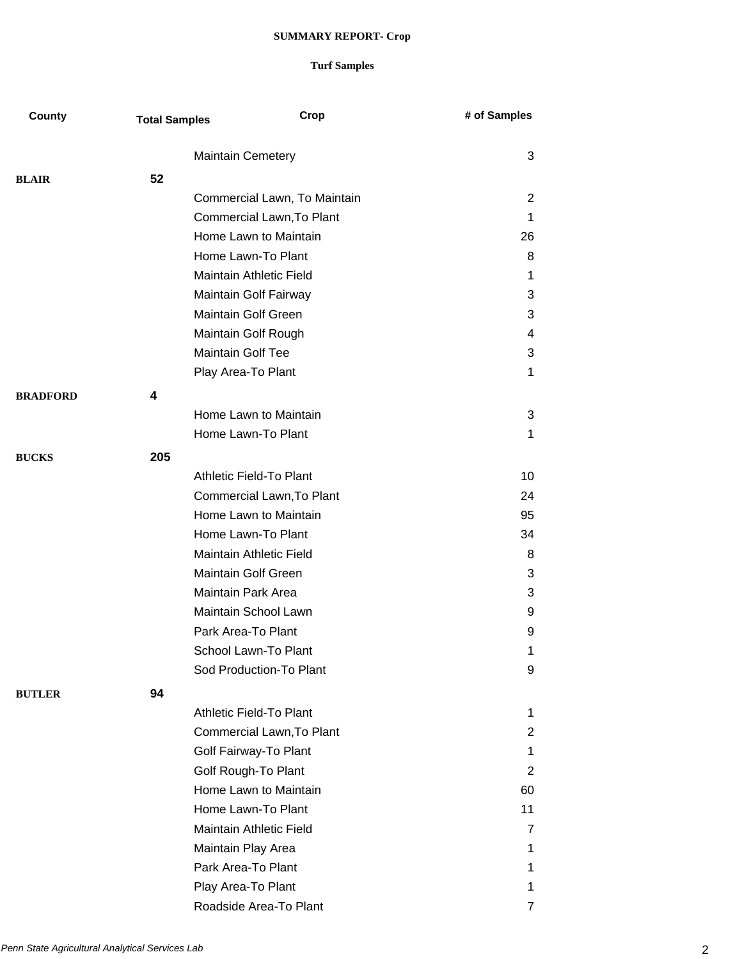| County          | <b>Total Samples</b> | Crop                           | # of Samples |
|-----------------|----------------------|--------------------------------|--------------|
|                 |                      | <b>Maintain Cemetery</b>       | 3            |
| <b>BLAIR</b>    | 52                   |                                |              |
|                 |                      | Commercial Lawn, To Maintain   | 2            |
|                 |                      | Commercial Lawn, To Plant      | 1            |
|                 |                      | Home Lawn to Maintain          | 26           |
|                 |                      | Home Lawn-To Plant             | 8            |
|                 |                      | Maintain Athletic Field        | 1            |
|                 |                      | Maintain Golf Fairway          | 3            |
|                 |                      | Maintain Golf Green            | 3            |
|                 |                      | Maintain Golf Rough            | 4            |
|                 |                      | <b>Maintain Golf Tee</b>       | 3            |
|                 |                      | Play Area-To Plant             | 1            |
| <b>BRADFORD</b> | 4                    |                                |              |
|                 |                      | Home Lawn to Maintain          | 3            |
|                 |                      | Home Lawn-To Plant             | 1            |
| <b>BUCKS</b>    | 205                  |                                |              |
|                 |                      | Athletic Field-To Plant        | 10           |
|                 |                      | Commercial Lawn, To Plant      | 24           |
|                 |                      | Home Lawn to Maintain          | 95           |
|                 |                      | Home Lawn-To Plant             | 34           |
|                 |                      | <b>Maintain Athletic Field</b> | 8            |
|                 |                      | <b>Maintain Golf Green</b>     | 3            |
|                 |                      | Maintain Park Area             | 3            |
|                 |                      | Maintain School Lawn           | 9            |
|                 |                      | Park Area-To Plant             | 9            |
|                 |                      | School Lawn-To Plant           | 1            |
|                 |                      | Sod Production-To Plant        | 9            |
| <b>BUTLER</b>   | 94                   |                                |              |
|                 |                      | Athletic Field-To Plant        | 1            |
|                 |                      | Commercial Lawn, To Plant      | 2            |
|                 |                      | Golf Fairway-To Plant          | 1.           |
|                 |                      | Golf Rough-To Plant            | 2            |
|                 |                      | Home Lawn to Maintain          | 60           |
|                 |                      | Home Lawn-To Plant             | 11           |
|                 |                      | Maintain Athletic Field        | 7            |
|                 |                      | Maintain Play Area             | 1.           |
|                 |                      | Park Area-To Plant             | 1.           |
|                 |                      | Play Area-To Plant             | 1.           |
|                 |                      | Roadside Area-To Plant         | 7            |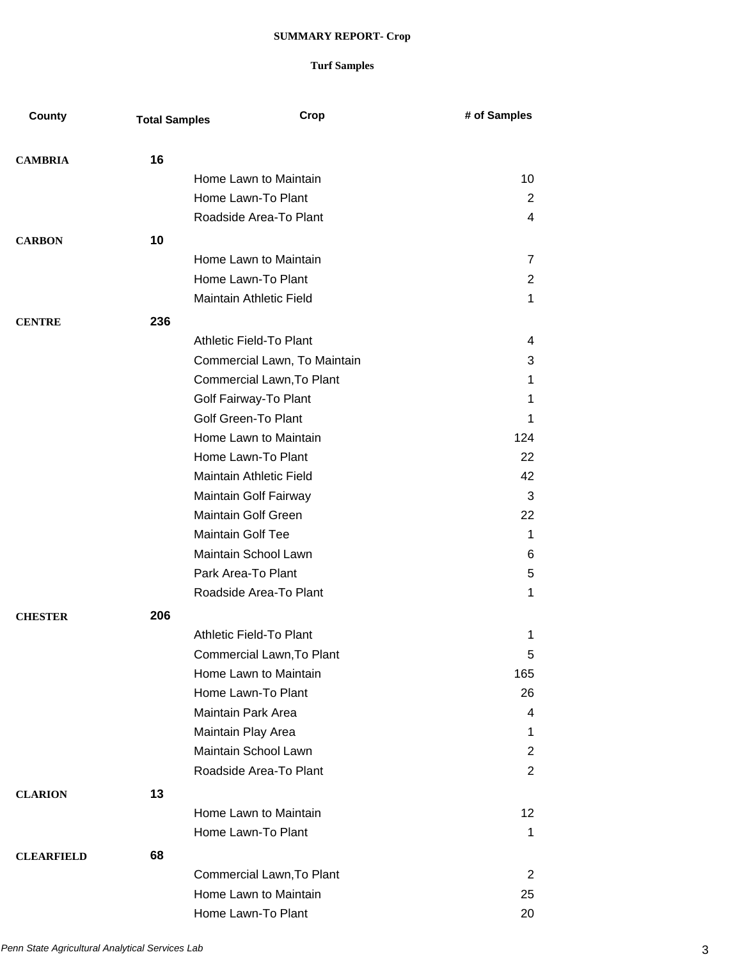| County            | <b>Total Samples</b> | Crop                           | # of Samples        |
|-------------------|----------------------|--------------------------------|---------------------|
|                   | 16                   |                                |                     |
| <b>CAMBRIA</b>    |                      | Home Lawn to Maintain          | 10                  |
|                   |                      | Home Lawn-To Plant             | 2                   |
|                   |                      | Roadside Area-To Plant         | 4                   |
|                   |                      |                                |                     |
| <b>CARBON</b>     | 10                   | Home Lawn to Maintain          |                     |
|                   |                      | Home Lawn-To Plant             | 7                   |
|                   |                      | Maintain Athletic Field        | $\overline{2}$<br>1 |
|                   |                      |                                |                     |
| <b>CENTRE</b>     | 236                  |                                |                     |
|                   |                      | Athletic Field-To Plant        | 4                   |
|                   |                      | Commercial Lawn, To Maintain   | 3                   |
|                   |                      | Commercial Lawn, To Plant      | 1                   |
|                   |                      | Golf Fairway-To Plant          | 1                   |
|                   |                      | <b>Golf Green-To Plant</b>     | 1                   |
|                   |                      | Home Lawn to Maintain          | 124                 |
|                   |                      | Home Lawn-To Plant             | 22                  |
|                   |                      | <b>Maintain Athletic Field</b> | 42                  |
|                   |                      | Maintain Golf Fairway          | 3                   |
|                   |                      | <b>Maintain Golf Green</b>     | 22                  |
|                   |                      | <b>Maintain Golf Tee</b>       | 1                   |
|                   |                      | Maintain School Lawn           | 6                   |
|                   |                      | Park Area-To Plant             | 5                   |
|                   |                      | Roadside Area-To Plant         | 1                   |
| <b>CHESTER</b>    | 206                  |                                |                     |
|                   |                      | <b>Athletic Field-To Plant</b> | 1                   |
|                   |                      | Commercial Lawn, To Plant      | 5                   |
|                   |                      | Home Lawn to Maintain          | 165                 |
|                   |                      | Home Lawn-To Plant             | 26                  |
|                   |                      | <b>Maintain Park Area</b>      | 4                   |
|                   |                      | Maintain Play Area             | 1.                  |
|                   |                      | Maintain School Lawn           | $\overline{2}$      |
|                   |                      | Roadside Area-To Plant         | 2                   |
| <b>CLARION</b>    | 13                   |                                |                     |
|                   |                      | Home Lawn to Maintain          | 12                  |
|                   |                      | Home Lawn-To Plant             | 1                   |
| <b>CLEARFIELD</b> | 68                   |                                |                     |
|                   |                      | Commercial Lawn, To Plant      | 2                   |
|                   |                      | Home Lawn to Maintain          | 25                  |
|                   |                      | Home Lawn-To Plant             | 20                  |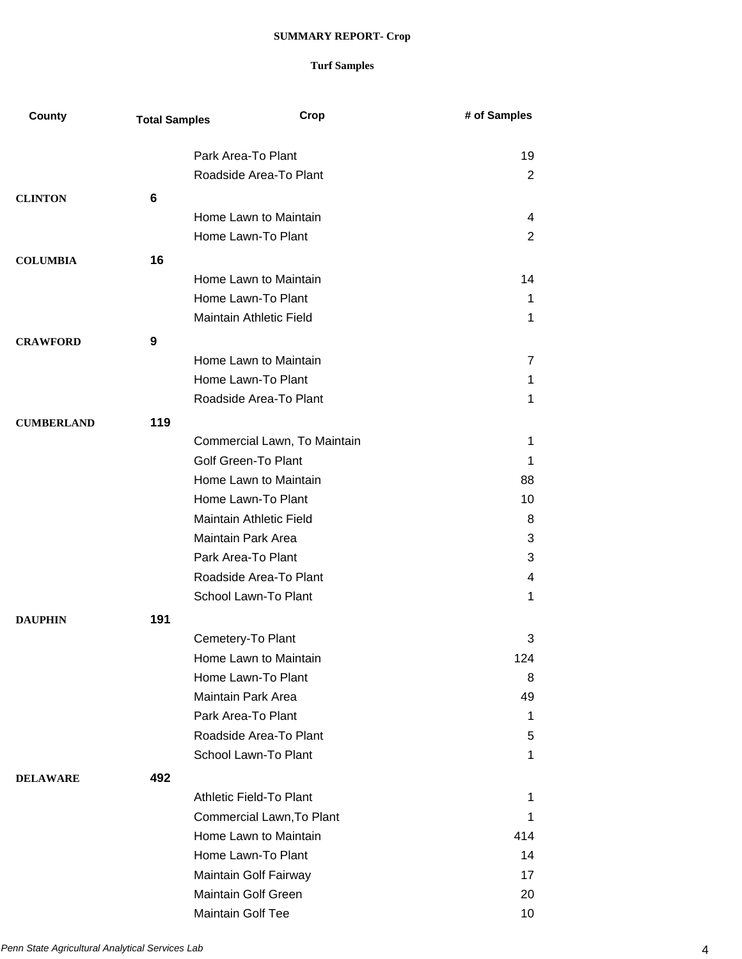| County            | <b>Total Samples</b> | Crop                         | # of Samples   |
|-------------------|----------------------|------------------------------|----------------|
|                   |                      |                              |                |
|                   |                      | Park Area-To Plant           | 19             |
|                   |                      | Roadside Area-To Plant       | $\overline{2}$ |
| <b>CLINTON</b>    | 6                    |                              |                |
|                   |                      | Home Lawn to Maintain        | 4              |
|                   |                      | Home Lawn-To Plant           | 2              |
| <b>COLUMBIA</b>   | 16                   |                              |                |
|                   |                      | Home Lawn to Maintain        | 14             |
|                   |                      | Home Lawn-To Plant           | 1              |
|                   |                      | Maintain Athletic Field      | 1              |
| <b>CRAWFORD</b>   | 9                    |                              |                |
|                   |                      | Home Lawn to Maintain        | 7              |
|                   |                      | Home Lawn-To Plant           | 1              |
|                   |                      | Roadside Area-To Plant       | 1              |
| <b>CUMBERLAND</b> | 119                  |                              |                |
|                   |                      | Commercial Lawn, To Maintain | 1              |
|                   |                      | Golf Green-To Plant          | 1              |
|                   |                      | Home Lawn to Maintain        | 88             |
|                   |                      | Home Lawn-To Plant           | 10             |
|                   |                      | Maintain Athletic Field      | 8              |
|                   |                      | <b>Maintain Park Area</b>    | 3              |
|                   |                      | Park Area-To Plant           | 3              |
|                   |                      | Roadside Area-To Plant       | 4              |
|                   |                      | School Lawn-To Plant         | 1              |
| <b>DAUPHIN</b>    | 191                  |                              |                |
|                   |                      | Cemetery-To Plant            | 3              |
|                   |                      | Home Lawn to Maintain        | 124            |
|                   |                      | Home Lawn-To Plant           | 8              |
|                   |                      | <b>Maintain Park Area</b>    | 49             |
|                   |                      | Park Area-To Plant           | 1              |
|                   |                      | Roadside Area-To Plant       | 5              |
|                   |                      | School Lawn-To Plant         | 1              |
| <b>DELAWARE</b>   | 492                  |                              |                |
|                   |                      | Athletic Field-To Plant      | 1              |
|                   |                      | Commercial Lawn, To Plant    | 1              |
|                   |                      | Home Lawn to Maintain        | 414            |
|                   |                      | Home Lawn-To Plant           | 14             |
|                   |                      | Maintain Golf Fairway        | 17             |
|                   |                      | <b>Maintain Golf Green</b>   | 20             |
|                   |                      | Maintain Golf Tee            | 10             |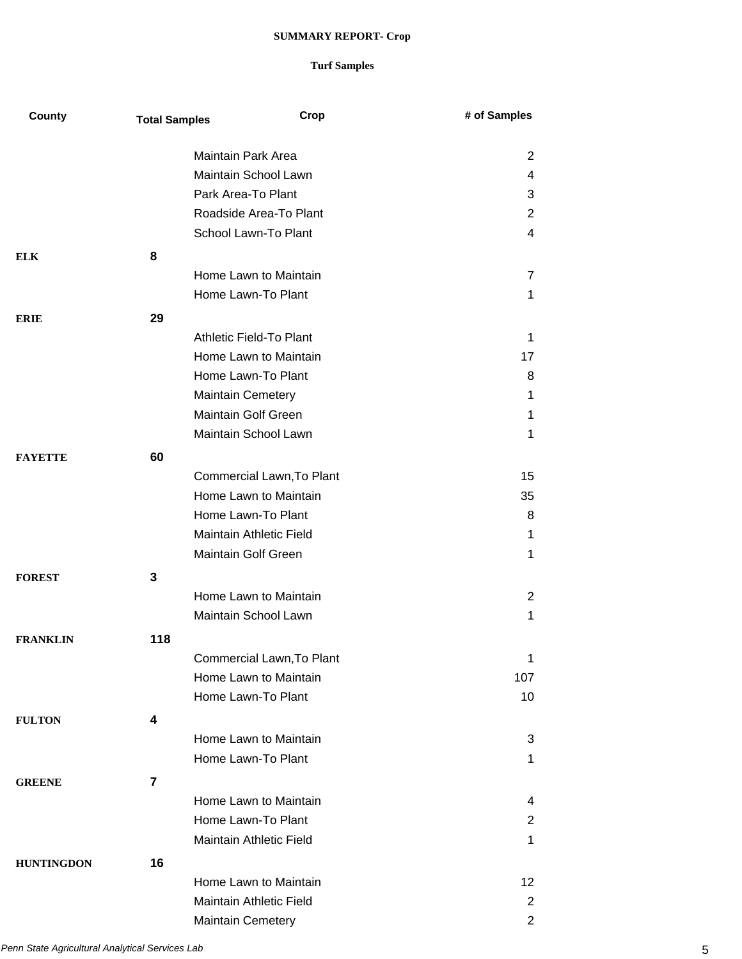| County            | <b>Total Samples</b> | Crop                       | # of Samples    |
|-------------------|----------------------|----------------------------|-----------------|
|                   |                      | Maintain Park Area         | 2               |
|                   |                      | Maintain School Lawn       | 4               |
|                   |                      | Park Area-To Plant         | 3               |
|                   |                      | Roadside Area-To Plant     | 2               |
|                   |                      | School Lawn-To Plant       | 4               |
|                   |                      |                            |                 |
| <b>ELK</b>        | 8                    |                            |                 |
|                   |                      | Home Lawn to Maintain      | 7               |
|                   |                      | Home Lawn-To Plant         | 1               |
| <b>ERIE</b>       | 29                   |                            |                 |
|                   |                      | Athletic Field-To Plant    | 1               |
|                   |                      | Home Lawn to Maintain      | 17              |
|                   |                      | Home Lawn-To Plant         | 8               |
|                   |                      | <b>Maintain Cemetery</b>   | 1               |
|                   |                      | <b>Maintain Golf Green</b> | 1               |
|                   |                      | Maintain School Lawn       | 1               |
| <b>FAYETTE</b>    | 60                   |                            |                 |
|                   |                      | Commercial Lawn, To Plant  | 15              |
|                   |                      | Home Lawn to Maintain      | 35              |
|                   |                      | Home Lawn-To Plant         | 8               |
|                   |                      | Maintain Athletic Field    | 1               |
|                   |                      | Maintain Golf Green        | 1               |
| <b>FOREST</b>     | 3                    |                            |                 |
|                   |                      | Home Lawn to Maintain      | $\overline{2}$  |
|                   |                      | Maintain School Lawn       | 1               |
|                   |                      |                            |                 |
| <b>FRANKLIN</b>   | 118                  |                            |                 |
|                   |                      | Commercial Lawn, To Plant  | 1               |
|                   |                      | Home Lawn to Maintain      | 107             |
|                   |                      | Home Lawn-To Plant         | 10              |
| <b>FULTON</b>     | 4                    |                            |                 |
|                   |                      | Home Lawn to Maintain      | 3               |
|                   |                      | Home Lawn-To Plant         | 1               |
| <b>GREENE</b>     | $\overline{7}$       |                            |                 |
|                   |                      | Home Lawn to Maintain      | 4               |
|                   |                      | Home Lawn-To Plant         | $\overline{2}$  |
|                   |                      | Maintain Athletic Field    | 1               |
| <b>HUNTINGDON</b> | 16                   |                            |                 |
|                   |                      | Home Lawn to Maintain      | 12 <sub>2</sub> |
|                   |                      | Maintain Athletic Field    | $\overline{2}$  |
|                   |                      | <b>Maintain Cemetery</b>   | $\overline{2}$  |
|                   |                      |                            |                 |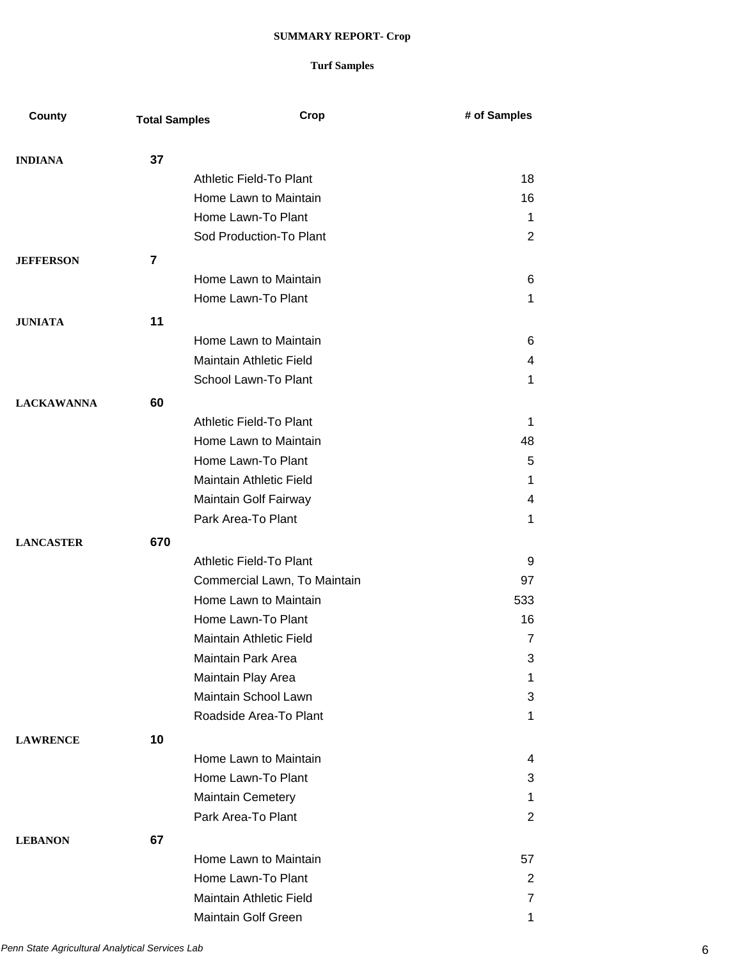| County            | <b>Total Samples</b> | Crop                           | # of Samples   |
|-------------------|----------------------|--------------------------------|----------------|
|                   |                      |                                |                |
| <b>INDIANA</b>    | 37                   |                                |                |
|                   |                      | Athletic Field-To Plant        | 18             |
|                   |                      | Home Lawn to Maintain          | 16             |
|                   |                      | Home Lawn-To Plant             | 1              |
|                   |                      | Sod Production-To Plant        | 2              |
| <b>JEFFERSON</b>  | 7                    |                                |                |
|                   |                      | Home Lawn to Maintain          | 6              |
|                   |                      | Home Lawn-To Plant             | 1              |
| <b>JUNIATA</b>    | 11                   |                                |                |
|                   |                      | Home Lawn to Maintain          | 6              |
|                   |                      | <b>Maintain Athletic Field</b> | 4              |
|                   |                      | School Lawn-To Plant           | 1              |
| <b>LACKAWANNA</b> | 60                   |                                |                |
|                   |                      | Athletic Field-To Plant        | 1              |
|                   |                      | Home Lawn to Maintain          | 48             |
|                   |                      | Home Lawn-To Plant             | 5              |
|                   |                      | Maintain Athletic Field        | 1              |
|                   |                      | Maintain Golf Fairway          | 4              |
|                   |                      | Park Area-To Plant             | 1              |
| <b>LANCASTER</b>  | 670                  |                                |                |
|                   |                      | Athletic Field-To Plant        | 9              |
|                   |                      | Commercial Lawn, To Maintain   | 97             |
|                   |                      | Home Lawn to Maintain          | 533            |
|                   |                      | Home Lawn-To Plant             | 16             |
|                   |                      | Maintain Athletic Field        | $\overline{7}$ |
|                   |                      | Maintain Park Area             | 3              |
|                   |                      | Maintain Play Area             | 1              |
|                   |                      | Maintain School Lawn           | 3              |
|                   |                      | Roadside Area-To Plant         | 1.             |
| <b>LAWRENCE</b>   | 10                   |                                |                |
|                   |                      | Home Lawn to Maintain          | 4              |
|                   |                      | Home Lawn-To Plant             | 3              |
|                   |                      | <b>Maintain Cemetery</b>       | 1              |
|                   |                      | Park Area-To Plant             | 2              |
| <b>LEBANON</b>    | 67                   |                                |                |
|                   |                      | Home Lawn to Maintain          | 57             |
|                   |                      | Home Lawn-To Plant             | $\overline{2}$ |
|                   |                      | Maintain Athletic Field        | 7              |
|                   |                      | Maintain Golf Green            | 1              |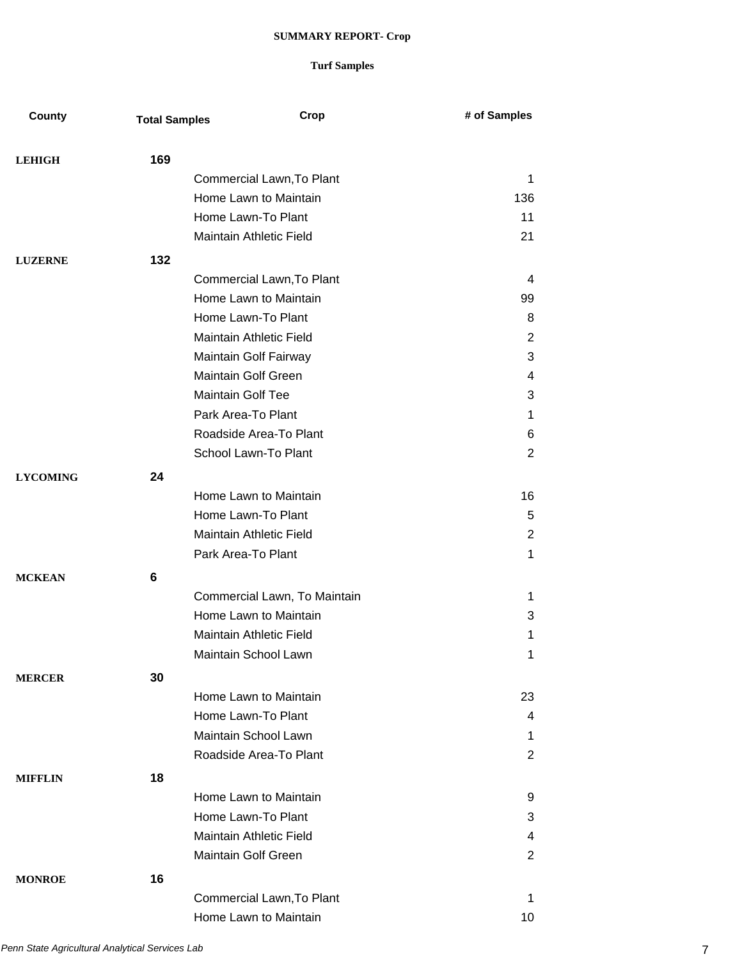| County          | <b>Total Samples</b> | Crop                           | # of Samples   |
|-----------------|----------------------|--------------------------------|----------------|
|                 |                      |                                |                |
| <b>LEHIGH</b>   | 169                  |                                |                |
|                 |                      | Commercial Lawn, To Plant      | 1              |
|                 |                      | Home Lawn to Maintain          | 136            |
|                 |                      | Home Lawn-To Plant             | 11             |
|                 |                      | Maintain Athletic Field        | 21             |
| <b>LUZERNE</b>  | 132                  |                                |                |
|                 |                      | Commercial Lawn, To Plant      | 4              |
|                 |                      | Home Lawn to Maintain          | 99             |
|                 |                      | Home Lawn-To Plant             | 8              |
|                 |                      | Maintain Athletic Field        | $\overline{2}$ |
|                 |                      | Maintain Golf Fairway          | 3              |
|                 |                      | <b>Maintain Golf Green</b>     | 4              |
|                 |                      | <b>Maintain Golf Tee</b>       | 3              |
|                 |                      | Park Area-To Plant             | 1              |
|                 |                      | Roadside Area-To Plant         | 6              |
|                 |                      | School Lawn-To Plant           | 2              |
| <b>LYCOMING</b> | 24                   |                                |                |
|                 |                      | Home Lawn to Maintain          | 16             |
|                 |                      | Home Lawn-To Plant             | 5              |
|                 |                      | Maintain Athletic Field        | 2              |
|                 |                      | Park Area-To Plant             | $\mathbf 1$    |
| <b>MCKEAN</b>   | 6                    |                                |                |
|                 |                      | Commercial Lawn, To Maintain   | 1.             |
|                 |                      | Home Lawn to Maintain          | 3              |
|                 |                      | Maintain Athletic Field        | 1              |
|                 |                      | Maintain School Lawn           | 1              |
| <b>MERCER</b>   | 30                   |                                |                |
|                 |                      | Home Lawn to Maintain          | 23             |
|                 |                      | Home Lawn-To Plant             | 4              |
|                 |                      | Maintain School Lawn           | 1              |
|                 |                      | Roadside Area-To Plant         | 2              |
| <b>MIFFLIN</b>  | 18                   |                                |                |
|                 |                      | Home Lawn to Maintain          | 9              |
|                 |                      | Home Lawn-To Plant             | 3              |
|                 |                      | <b>Maintain Athletic Field</b> | 4              |
|                 |                      | Maintain Golf Green            | 2              |
| <b>MONROE</b>   | 16                   |                                |                |
|                 |                      | Commercial Lawn, To Plant      | 1              |
|                 |                      | Home Lawn to Maintain          | 10             |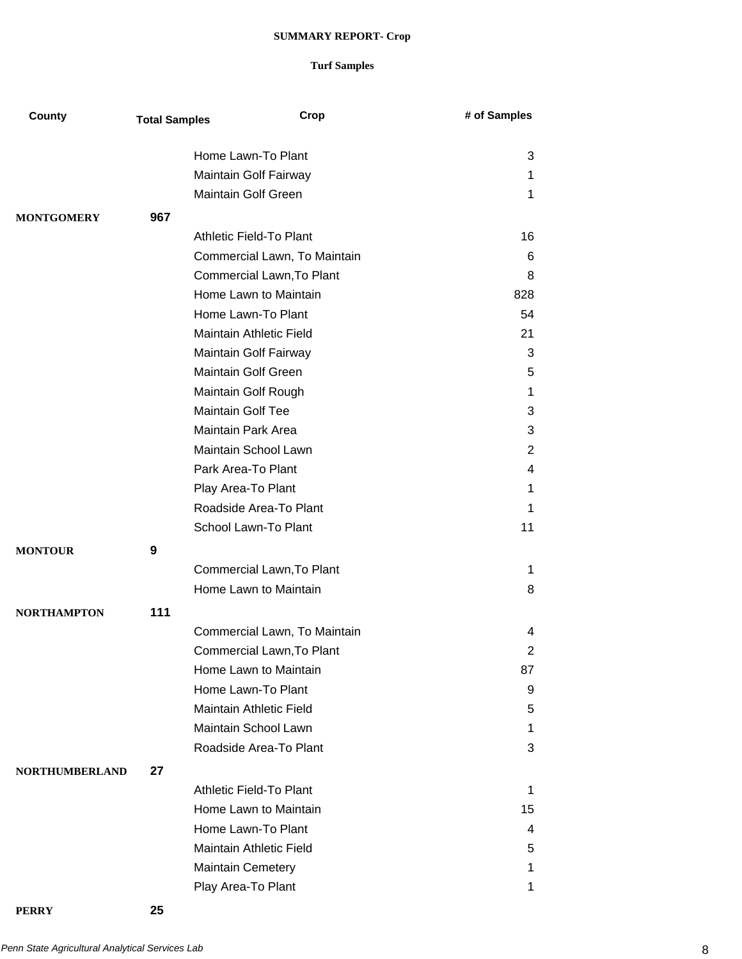### **Turf Samples**

| County                | <b>Total Samples</b> | Crop                         | # of Samples     |
|-----------------------|----------------------|------------------------------|------------------|
|                       |                      | Home Lawn-To Plant           | 3                |
|                       |                      | Maintain Golf Fairway        | 1.               |
|                       |                      | Maintain Golf Green          | $\mathbf 1$      |
|                       |                      |                              |                  |
| <b>MONTGOMERY</b>     | 967                  |                              |                  |
|                       |                      | Athletic Field-To Plant      | 16               |
|                       |                      | Commercial Lawn, To Maintain | 6                |
|                       |                      | Commercial Lawn, To Plant    | 8                |
|                       |                      | Home Lawn to Maintain        | 828              |
|                       |                      | Home Lawn-To Plant           | 54               |
|                       |                      | Maintain Athletic Field      | 21               |
|                       |                      | Maintain Golf Fairway        | 3                |
|                       |                      | Maintain Golf Green          | 5                |
|                       |                      | Maintain Golf Rough          | 1                |
|                       |                      | <b>Maintain Golf Tee</b>     | 3                |
|                       |                      | Maintain Park Area           | 3                |
|                       |                      | Maintain School Lawn         | $\overline{2}$   |
|                       |                      | Park Area-To Plant           | 4                |
|                       |                      | Play Area-To Plant           | 1                |
|                       |                      | Roadside Area-To Plant       | 1                |
|                       |                      | School Lawn-To Plant         | 11               |
| <b>MONTOUR</b>        | 9                    |                              |                  |
|                       |                      | Commercial Lawn, To Plant    | 1                |
|                       |                      | Home Lawn to Maintain        | 8                |
| <b>NORTHAMPTON</b>    | 111                  |                              |                  |
|                       |                      | Commercial Lawn, To Maintain | 4                |
|                       |                      | Commercial Lawn, To Plant    |                  |
|                       |                      | Home Lawn to Maintain        | 2                |
|                       |                      | Home Lawn-To Plant           | 87               |
|                       |                      |                              | 9                |
|                       |                      | Maintain Athletic Field      | 5                |
|                       |                      | Maintain School Lawn         | 1                |
|                       |                      | Roadside Area-To Plant       | 3                |
| <b>NORTHUMBERLAND</b> | 27                   |                              |                  |
|                       |                      | Athletic Field-To Plant      | $\mathbf{1}$     |
|                       |                      | Home Lawn to Maintain        | 15 <sub>15</sub> |
|                       |                      | Home Lawn-To Plant           | 4                |
|                       |                      | Maintain Athletic Field      | 5                |
|                       |                      | <b>Maintain Cemetery</b>     | 1                |
|                       |                      | Play Area-To Plant           | 1                |

**PERRY 25**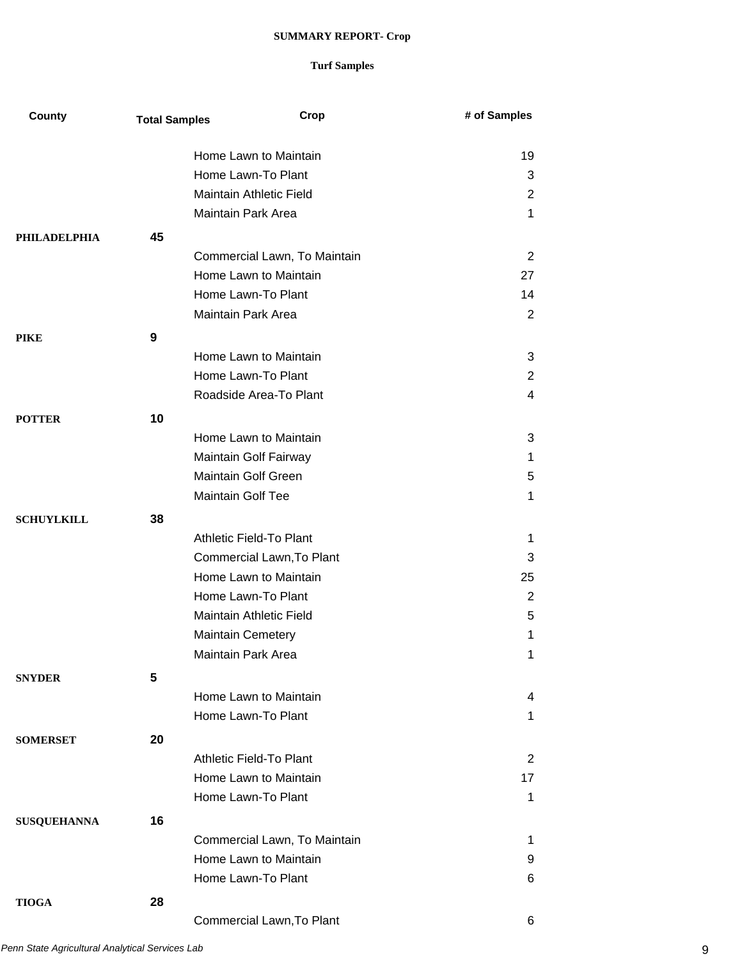| County              | <b>Total Samples</b> | Crop                         | # of Samples   |
|---------------------|----------------------|------------------------------|----------------|
|                     |                      | Home Lawn to Maintain        | 19             |
|                     |                      | Home Lawn-To Plant           | 3              |
|                     |                      | Maintain Athletic Field      | $\overline{2}$ |
|                     |                      | Maintain Park Area           | 1              |
| <b>PHILADELPHIA</b> | 45                   |                              |                |
|                     |                      | Commercial Lawn, To Maintain | 2              |
|                     |                      | Home Lawn to Maintain        | 27             |
|                     |                      | Home Lawn-To Plant           | 14             |
|                     |                      | Maintain Park Area           | $\overline{2}$ |
| <b>PIKE</b>         | 9                    |                              |                |
|                     |                      | Home Lawn to Maintain        | 3              |
|                     |                      | Home Lawn-To Plant           | $\overline{2}$ |
|                     |                      | Roadside Area-To Plant       | 4              |
| <b>POTTER</b>       | 10                   |                              |                |
|                     |                      | Home Lawn to Maintain        | 3              |
|                     |                      | Maintain Golf Fairway        | 1              |
|                     |                      | Maintain Golf Green          | 5              |
|                     |                      | Maintain Golf Tee            | 1              |
| <b>SCHUYLKILL</b>   | 38                   |                              |                |
|                     |                      | Athletic Field-To Plant      | 1              |
|                     |                      | Commercial Lawn, To Plant    | 3              |
|                     |                      | Home Lawn to Maintain        | 25             |
|                     |                      | Home Lawn-To Plant           | $\overline{2}$ |
|                     |                      | Maintain Athletic Field      | 5              |
|                     |                      | <b>Maintain Cemetery</b>     | 1              |
|                     |                      | Maintain Park Area           | 1              |
| <b>SNYDER</b>       | 5                    |                              |                |
|                     |                      | Home Lawn to Maintain        | 4              |
|                     |                      | Home Lawn-To Plant           | 1              |
| <b>SOMERSET</b>     | 20                   |                              |                |
|                     |                      | Athletic Field-To Plant      | 2              |
|                     |                      | Home Lawn to Maintain        | 17             |
|                     |                      | Home Lawn-To Plant           | $\mathbf 1$    |
| <b>SUSQUEHANNA</b>  | 16                   |                              |                |
|                     |                      | Commercial Lawn, To Maintain | 1              |
|                     |                      | Home Lawn to Maintain        | 9              |
|                     |                      | Home Lawn-To Plant           | 6              |
| <b>TIOGA</b>        | 28                   |                              |                |
|                     |                      | Commercial Lawn, To Plant    | 6              |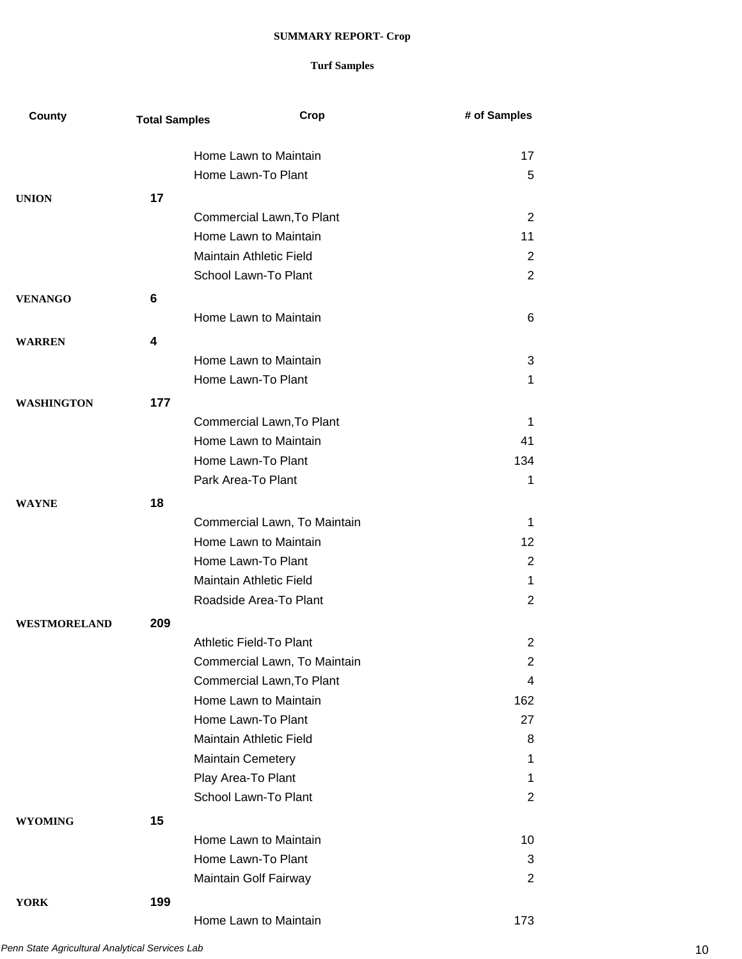| County            | <b>Total Samples</b> | Crop                           | # of Samples   |
|-------------------|----------------------|--------------------------------|----------------|
|                   |                      | Home Lawn to Maintain          | 17             |
|                   |                      | Home Lawn-To Plant             | 5              |
| <b>UNION</b>      | 17                   |                                |                |
|                   |                      | Commercial Lawn, To Plant      | 2              |
|                   |                      | Home Lawn to Maintain          | 11             |
|                   |                      | Maintain Athletic Field        | 2              |
|                   |                      | School Lawn-To Plant           | $\overline{2}$ |
| <b>VENANGO</b>    | 6                    |                                |                |
|                   |                      | Home Lawn to Maintain          | 6              |
|                   |                      |                                |                |
| <b>WARREN</b>     | 4                    | Home Lawn to Maintain          |                |
|                   |                      | Home Lawn-To Plant             | 3<br>1         |
|                   |                      |                                |                |
| <b>WASHINGTON</b> | 177                  |                                |                |
|                   |                      | Commercial Lawn, To Plant      | 1              |
|                   |                      | Home Lawn to Maintain          | 41             |
|                   |                      | Home Lawn-To Plant             | 134            |
|                   |                      | Park Area-To Plant             | 1              |
| <b>WAYNE</b>      | 18                   |                                |                |
|                   |                      | Commercial Lawn, To Maintain   | 1              |
|                   |                      | Home Lawn to Maintain          | 12             |
|                   |                      | Home Lawn-To Plant             | $\overline{2}$ |
|                   |                      | Maintain Athletic Field        | 1              |
|                   |                      | Roadside Area-To Plant         | 2              |
| WESTMORELAND      | 209                  |                                |                |
|                   |                      | <b>Athletic Field-To Plant</b> | 2              |
|                   |                      | Commercial Lawn, To Maintain   | 2              |
|                   |                      | Commercial Lawn, To Plant      | 4              |
|                   |                      | Home Lawn to Maintain          | 162            |
|                   |                      | Home Lawn-To Plant             | 27             |
|                   |                      | <b>Maintain Athletic Field</b> | 8              |
|                   |                      | <b>Maintain Cemetery</b>       | 1              |
|                   |                      | Play Area-To Plant             | 1              |
|                   |                      | School Lawn-To Plant           | 2              |
| <b>WYOMING</b>    | 15                   |                                |                |
|                   |                      | Home Lawn to Maintain          | 10             |
|                   |                      | Home Lawn-To Plant             | 3              |
|                   |                      | Maintain Golf Fairway          | 2              |
| <b>YORK</b>       | 199                  |                                |                |
|                   |                      | Home Lawn to Maintain          | 173            |